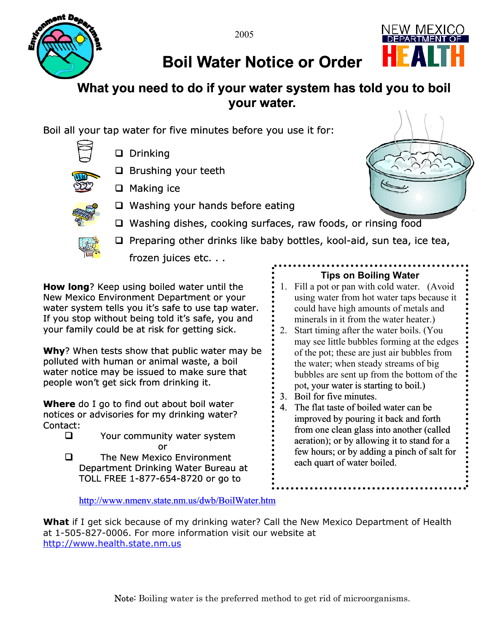



## **Boil Water Notice or Order**

## **What you need to do if your water system has told you to boil your water.**

Boil all your tap water for five minutes before you use it for:



□ Drinking

□ Brushing your teeth



- $\Box$  Making ice
- $\Box$  Washing your hands before eating



- □ Washing dishes, cooking surfaces, raw foods, or rinsing food
- $\Box$  Preparing other drinks like baby bottles, kool-aid, sun tea, ice tea, frozen juices etc. . .

**How long**? Keep using boiled water until the New Mexico Environment Department or your water system tells you it's safe to use tap water. If you stop without being told it's safe, you and your family could be at risk for getting sick.

**Why**? When tests show that public water may be polluted with human or animal waste, a boil water notice may be issued to make sure that people won't get sick from drinking it.

**Where** do I go to find out about boil water notices or advisories for my drinking water? Contact:

**Q** Your community water system or

**Q** The New Mexico Environment Department Drinking Water Bureau at TOLL FREE 1-877-654-8720 or go to

## **Tips on Boiling Water**

- 1. Fill a pot or pan with cold water. (Avoid using water from hot water taps because it could have high amounts of metals and minerals in it from the water heater.)
- 2. Start timing after the water boils. (You may see little bubbles forming at the edge s of the pot; these are just air bubbles from the water; when steady streams of big bubbles are sent up from the bottom of the pot, your water is starting to boil.)
- 3. Boil for five minutes.
- from one clean glass into another (called 4. The flat taste of boiled water can be improved by pouring it back and forth aeration); or by allowing it to stand for a few hours; or by adding a pinch of salt for each quart of water boiled.

<http://www.nmenv.state.nm.us/dwb/BoilWater.htm>

**What** if I get sick because of my drinking water? Call the New Mexico Department of Health at 1-505-827-0006. For more information visit our website at [http://www.health.state.nm.us](http://www.health.state.nm.us/)